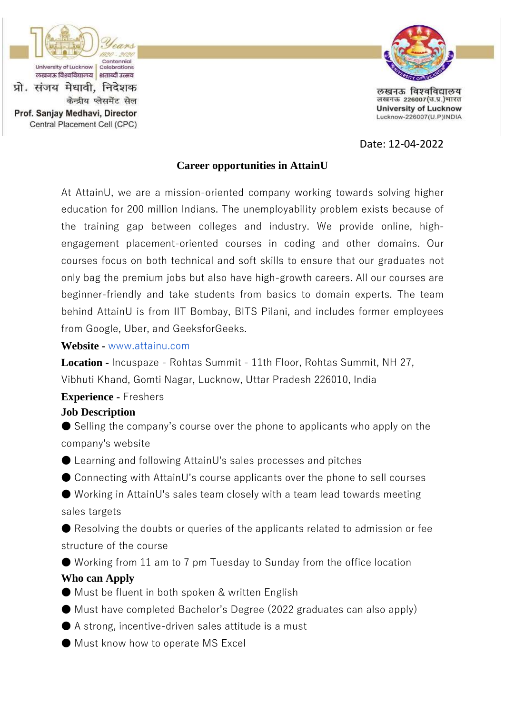

Prof. Sanjay Medhavi, Director

Central Placement Cell (CPC)

केन्द्रीय प्लेसमेंट सेल



लखनऊ विश्वविद्यालय लखनऊ 226007(उ.प्र.)भारत **University of Lucknow** Lucknow-226007(U.P)INDIA

Date: 12-04-2022

## **Career opportunities in AttainU**

At AttainU, we are a mission-oriented company working towards solving higher education for 200 million Indians. The unemployability problem exists because of the training gap between colleges and industry. We provide online, highengagement placement-oriented courses in coding and other domains. Our courses focus on both technical and soft skills to ensure that our graduates not only bag the premium jobs but also have high-growth careers. All our courses are beginner-friendly and take students from basics to domain experts. The team behind AttainU is from IIT Bombay, BITS Pilani, and includes former employees from Google, Uber, and GeeksforGeeks.

#### **Website -** www.attainu.com

**Location -** Incuspaze - Rohtas Summit - 11th Floor, Rohtas Summit, NH 27, Vibhuti Khand, Gomti Nagar, Lucknow, Uttar Pradesh 226010, India

## **Experience -** Freshers

#### **Job Description**

● Selling the company's course over the phone to applicants who apply on the company's website

● Learning and following AttainU's sales processes and pitches

● Connecting with AttainU's course applicants over the phone to sell courses

● Working in AttainU's sales team closely with a team lead towards meeting sales targets

 $\bullet$  Resolving the doubts or queries of the applicants related to admission or fee structure of the course

● Working from 11 am to 7 pm Tuesday to Sunday from the office location **Who can Apply**

● Must be fluent in both spoken & written English

● Must have completed Bachelor's Degree (2022 graduates can also apply)

 $\bullet$  A strong, incentive-driven sales attitude is a must

● Must know how to operate MS Excel